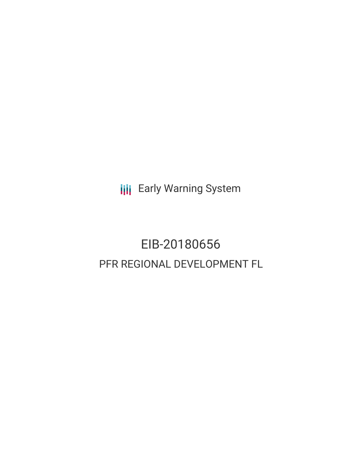**III** Early Warning System

# EIB-20180656 PFR REGIONAL DEVELOPMENT FL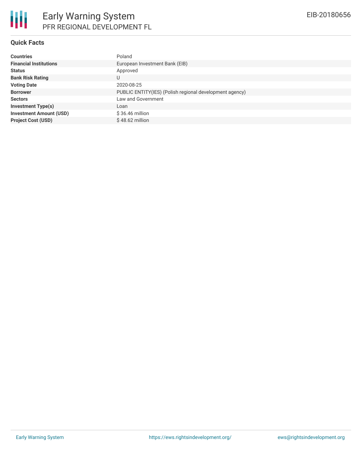#### **Quick Facts**

| <b>Countries</b>               | Poland                                                  |
|--------------------------------|---------------------------------------------------------|
| <b>Financial Institutions</b>  | European Investment Bank (EIB)                          |
| <b>Status</b>                  | Approved                                                |
| <b>Bank Risk Rating</b>        | U                                                       |
| <b>Voting Date</b>             | 2020-08-25                                              |
| <b>Borrower</b>                | PUBLIC ENTITY(IES) (Polish regional development agency) |
| <b>Sectors</b>                 | Law and Government                                      |
| <b>Investment Type(s)</b>      | Loan                                                    |
| <b>Investment Amount (USD)</b> | $$36.46$ million                                        |
| <b>Project Cost (USD)</b>      | $$48.62$ million                                        |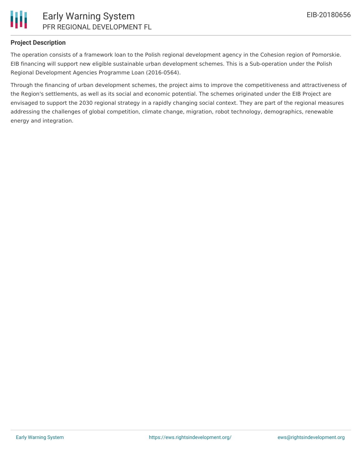

#### **Project Description**

The operation consists of a framework loan to the Polish regional development agency in the Cohesion region of Pomorskie. EIB financing will support new eligible sustainable urban development schemes. This is a Sub-operation under the Polish Regional Development Agencies Programme Loan (2016-0564).

Through the financing of urban development schemes, the project aims to improve the competitiveness and attractiveness of the Region's settlements, as well as its social and economic potential. The schemes originated under the EIB Project are envisaged to support the 2030 regional strategy in a rapidly changing social context. They are part of the regional measures addressing the challenges of global competition, climate change, migration, robot technology, demographics, renewable energy and integration.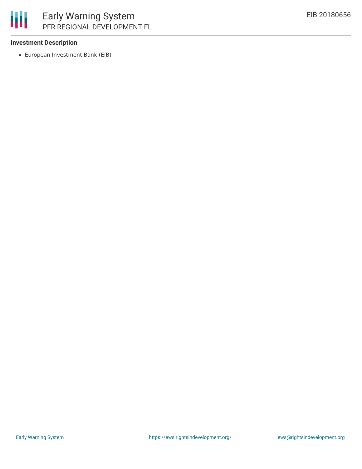

#### **Investment Description**

European Investment Bank (EIB)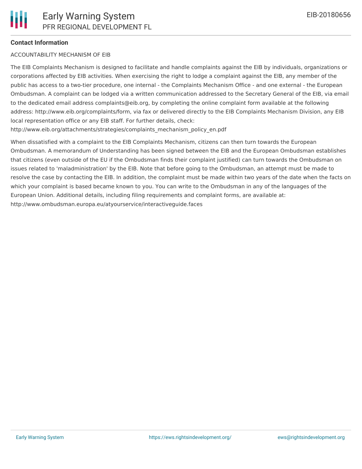#### **Contact Information**

#### ACCOUNTABILITY MECHANISM OF EIB

The EIB Complaints Mechanism is designed to facilitate and handle complaints against the EIB by individuals, organizations or corporations affected by EIB activities. When exercising the right to lodge a complaint against the EIB, any member of the public has access to a two-tier procedure, one internal - the Complaints Mechanism Office - and one external - the European Ombudsman. A complaint can be lodged via a written communication addressed to the Secretary General of the EIB, via email to the dedicated email address complaints@eib.org, by completing the online complaint form available at the following address: http://www.eib.org/complaints/form, via fax or delivered directly to the EIB Complaints Mechanism Division, any EIB local representation office or any EIB staff. For further details, check:

http://www.eib.org/attachments/strategies/complaints\_mechanism\_policy\_en.pdf

When dissatisfied with a complaint to the EIB Complaints Mechanism, citizens can then turn towards the European Ombudsman. A memorandum of Understanding has been signed between the EIB and the European Ombudsman establishes that citizens (even outside of the EU if the Ombudsman finds their complaint justified) can turn towards the Ombudsman on issues related to 'maladministration' by the EIB. Note that before going to the Ombudsman, an attempt must be made to resolve the case by contacting the EIB. In addition, the complaint must be made within two years of the date when the facts on which your complaint is based became known to you. You can write to the Ombudsman in any of the languages of the European Union. Additional details, including filing requirements and complaint forms, are available at: http://www.ombudsman.europa.eu/atyourservice/interactiveguide.faces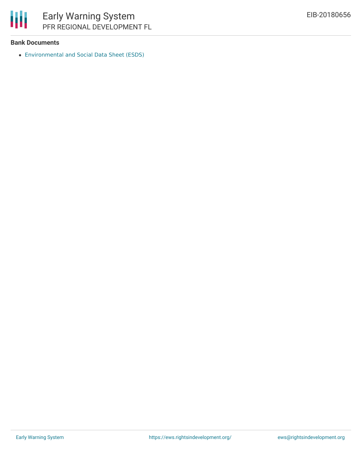

#### **Bank Documents**

[Environmental](https://www.eib.org/attachments/registers/126562689.pdf) and Social Data Sheet (ESDS)